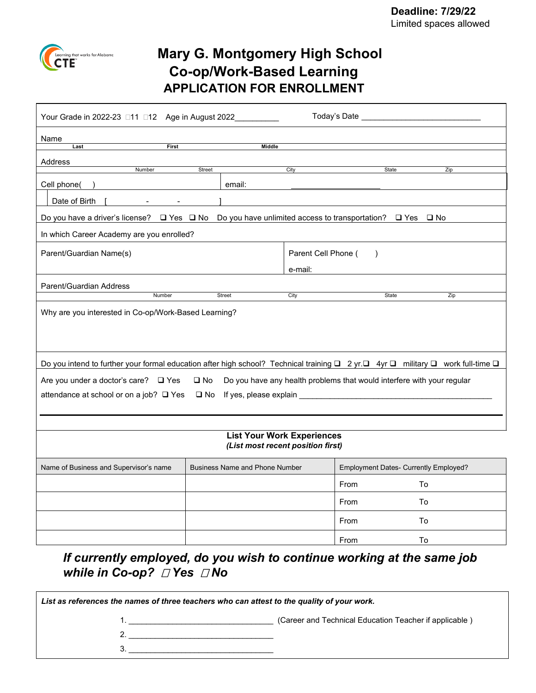

# **Mary G. Montgomery High School Co-op/Work-Based Learning APPLICATION FOR ENROLLMENT**

| Your Grade in 2022-23 □11 □12 Age in August 2022                                                                                |                                       |                     | Today's Date ________________                                          |     |
|---------------------------------------------------------------------------------------------------------------------------------|---------------------------------------|---------------------|------------------------------------------------------------------------|-----|
| Name                                                                                                                            |                                       |                     |                                                                        |     |
| First<br>Last                                                                                                                   | Middle                                |                     |                                                                        |     |
| Address<br>Number                                                                                                               | Street                                |                     |                                                                        |     |
|                                                                                                                                 |                                       | City                | State                                                                  | Zip |
| Cell phone(                                                                                                                     | email:                                |                     |                                                                        |     |
| Date of Birth                                                                                                                   |                                       |                     |                                                                        |     |
| Do you have a driver's license? □ Yes □ No Do you have unlimited access to transportation? □ Yes □ No                           |                                       |                     |                                                                        |     |
| In which Career Academy are you enrolled?                                                                                       |                                       |                     |                                                                        |     |
| Parent/Guardian Name(s)                                                                                                         |                                       | Parent Cell Phone ( | $\rightarrow$                                                          |     |
|                                                                                                                                 |                                       | e-mail:             |                                                                        |     |
| Parent/Guardian Address                                                                                                         |                                       |                     |                                                                        |     |
| Number                                                                                                                          | Street                                | City                | State                                                                  | Zip |
| Why are you interested in Co-op/Work-Based Learning?                                                                            |                                       |                     |                                                                        |     |
| Do you intend to further your formal education after high school? Technical training □ 2 yr.□ 4yr □ military □ work full-time □ |                                       |                     |                                                                        |     |
| Are you under a doctor's care? □ Yes                                                                                            | $\square$ No                          |                     | Do you have any health problems that would interfere with your regular |     |
| attendance at school or on a job? □ Yes                                                                                         |                                       |                     |                                                                        |     |
|                                                                                                                                 |                                       |                     |                                                                        |     |
|                                                                                                                                 |                                       |                     |                                                                        |     |
| <b>List Your Work Experiences</b><br>(List most recent position first)                                                          |                                       |                     |                                                                        |     |
| Name of Business and Supervisor's name                                                                                          | <b>Business Name and Phone Number</b> |                     | Employment Dates- Currently Employed?                                  |     |
|                                                                                                                                 |                                       |                     | From                                                                   | Tο  |
|                                                                                                                                 |                                       |                     | From                                                                   | To  |
|                                                                                                                                 |                                       |                     | From                                                                   | To  |

*If currently employed, do you wish to continue working at the same job while in Co-op? Yes No*

From To

*List as references the names of three teachers who can attest to the quality of your work.* 1. \_\_\_\_\_\_\_\_\_\_\_\_\_\_\_\_\_\_\_\_\_\_\_\_\_\_\_\_\_\_\_\_\_ (Career and Technical Education Teacher if applicable ) 2. \_\_\_\_\_\_\_\_\_\_\_\_\_\_\_\_\_\_\_\_\_\_\_\_\_\_\_\_\_\_\_\_\_ 3. \_\_\_\_\_\_\_\_\_\_\_\_\_\_\_\_\_\_\_\_\_\_\_\_\_\_\_\_\_\_\_\_\_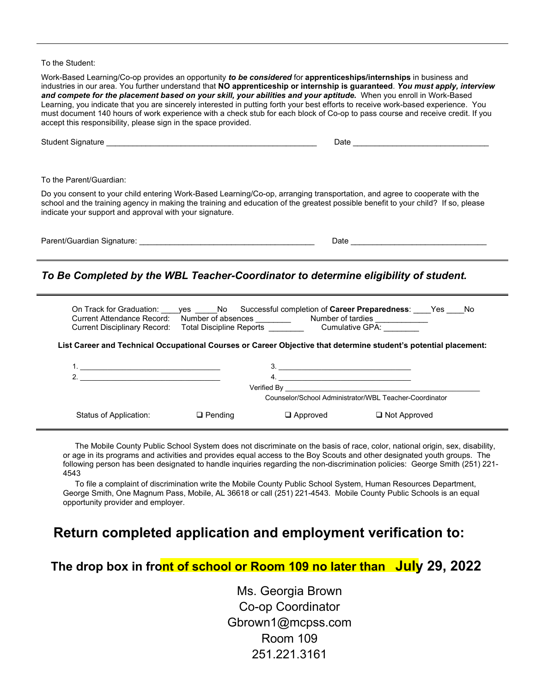#### To the Student:

Work-Based Learning/Co-op provides an opportunity *to be considered* for **apprenticeships/internships** in business and industries in our area. You further understand that **NO apprenticeship or internship is guaranteed**. *You must apply, interview and compete for the placement based on your skill, your abilities and your aptitude.* When you enroll in Work-Based Learning, you indicate that you are sincerely interested in putting forth your best efforts to receive work-based experience. You must document 140 hours of work experience with a check stub for each block of Co-op to pass course and receive credit. If you accept this responsibility, please sign in the space provided.

| <b>Student Signature</b>                                                                                                                                                                                                                                                                                                   | Date |
|----------------------------------------------------------------------------------------------------------------------------------------------------------------------------------------------------------------------------------------------------------------------------------------------------------------------------|------|
|                                                                                                                                                                                                                                                                                                                            |      |
| To the Parent/Guardian:                                                                                                                                                                                                                                                                                                    |      |
| Do you consent to your child entering Work-Based Learning/Co-op, arranging transportation, and agree to cooperate with the<br>school and the training agency in making the training and education of the greatest possible benefit to your child? If so, please<br>indicate your support and approval with your signature. |      |

| Paren<br>iianature<br>.<br>'''<br>וור<br>чы.<br>. | ان Oate |  |
|---------------------------------------------------|---------|--|
|                                                   |         |  |

### *To Be Completed by the WBL Teacher-Coordinator to determine eligibility of student.*

 On Track for Graduation: \_\_\_\_yes \_\_\_\_\_No Successful completion of **Career Preparedness**: \_\_\_\_Yes \_\_\_\_No Current Attendance Record: Number of absences \_\_\_\_\_\_\_\_ Number of tardies \_\_\_\_\_\_\_\_\_\_\_\_ Current Disciplinary Record: Total Discipline Reports \_\_\_\_\_\_\_\_\_\_\_\_\_\_Cumulative GPA:

#### **List Career and Technical Occupational Courses or Career Objective that determine student's potential placement:**

|                        |                | Verified By     | the contract of the contract of the contract of the contract of the contract of the contract of the contract of<br>Counselor/School Administrator/WBL Teacher-Coordinator |  |
|------------------------|----------------|-----------------|---------------------------------------------------------------------------------------------------------------------------------------------------------------------------|--|
| Status of Application: | $\Box$ Pending | $\Box$ Approved | $\Box$ Not Approved                                                                                                                                                       |  |

The Mobile County Public School System does not discriminate on the basis of race, color, national origin, sex, disability, or age in its programs and activities and provides equal access to the Boy Scouts and other designated youth groups. The following person has been designated to handle inquiries regarding the non-discrimination policies: George Smith (251) 221- 4543

To file a complaint of discrimination write the Mobile County Public School System, Human Resources Department, George Smith, One Magnum Pass, Mobile, AL 36618 or call (251) 221-4543. Mobile County Public Schools is an equal opportunity provider and employer.

### **Return completed application and employment verification to:**

**The drop box in front of school or Room 109 no later than July 29, 2022**

Ms. Georgia Brown Co-op Coordinator Gbrown1@mcpss.com Room 109 251.221.3161